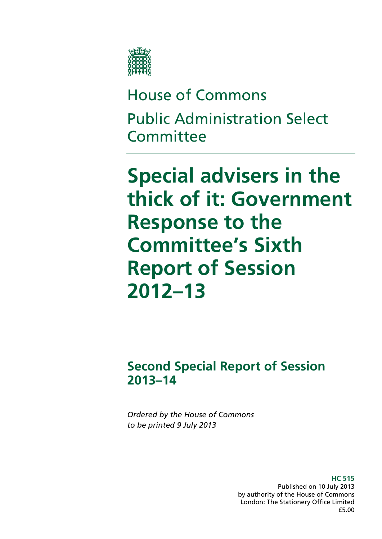

# House of Commons Public Administration Select **Committee**

**Special advisers in the thick of it: Government Response to the Committee's Sixth Report of Session 2012–13** 

**Second Special Report of Session 2013–14** 

*Ordered by the House of Commons to be printed 9 July 2013* 

> **HC 515**  Published on 10 July 2013 by authority of the House of Commons London: The Stationery Office Limited £5.00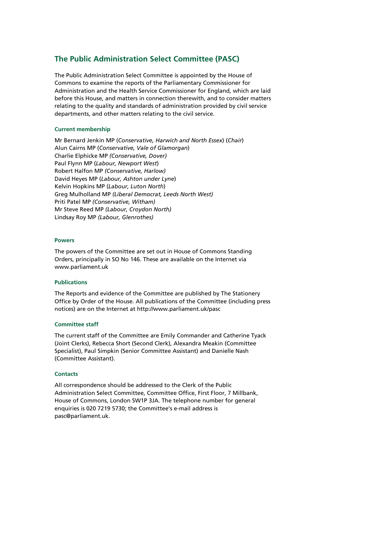# **The Public Administration Select Committee (PASC)**

The Public Administration Select Committee is appointed by the House of Commons to examine the reports of the Parliamentary Commissioner for Administration and the Health Service Commissioner for England, which are laid before this House, and matters in connection therewith, and to consider matters relating to the quality and standards of administration provided by civil service departments, and other matters relating to the civil service.

#### **Current membership**

Mr Bernard Jenkin MP (*Conservative, Harwich and North Essex*) (*Chair*) Alun Cairns MP (*Conservative, Vale of Glamorgan*) Charlie Elphicke MP *(Conservative, Dover)* Paul Flynn MP (*Labour, Newport West*) Robert Halfon MP *(Conservative, Harlow)* David Heyes MP (*Labour, Ashton under Lyne*) Kelvin Hopkins MP (*Labour, Luton North*) Greg Mulholland MP *(Liberal Democrat, Leeds North West)*  Priti Patel MP *(Conservative, Witham)*  Mr Steve Reed MP *(Labour, Croydon North)* Lindsay Roy MP *(Labour, Glenrothes)* 

#### **Powers**

The powers of the Committee are set out in House of Commons Standing Orders, principally in SO No 146. These are available on the Internet via www.parliament.uk

#### **Publications**

The Reports and evidence of the Committee are published by The Stationery Office by Order of the House. All publications of the Committee (including press notices) are on the Internet at http://www.parliament.uk/pasc

#### **Committee staff**

The current staff of the Committee are Emily Commander and Catherine Tyack (Joint Clerks), Rebecca Short (Second Clerk), Alexandra Meakin (Committee Specialist), Paul Simpkin (Senior Committee Assistant) and Danielle Nash (Committee Assistant).

#### **Contacts**

All correspondence should be addressed to the Clerk of the Public Administration Select Committee, Committee Office, First Floor, 7 Millbank, House of Commons, London SW1P 3JA. The telephone number for general enquiries is 020 7219 5730; the Committee's e-mail address is pasc@parliament.uk.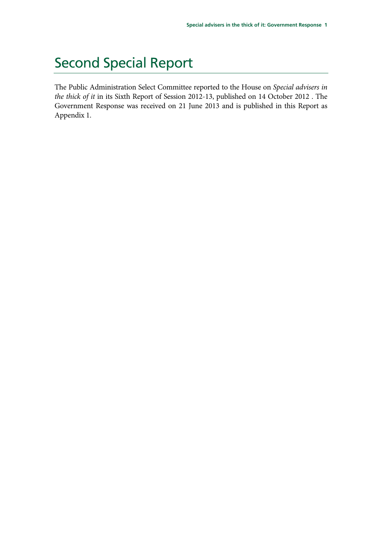# Second Special Report

The Public Administration Select Committee reported to the House on *Special advisers in the thick of it* in its Sixth Report of Session 2012-13, published on 14 October 2012 . The Government Response was received on 21 June 2013 and is published in this Report as Appendix 1.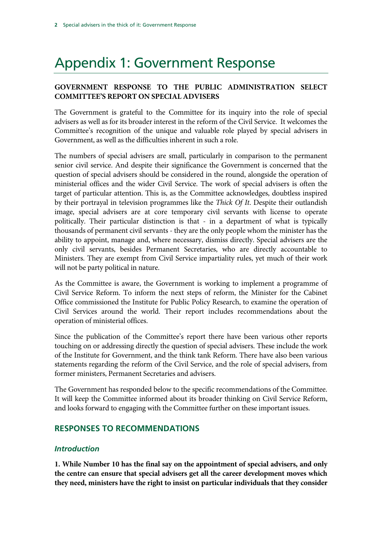# Appendix 1: Government Response

# **GOVERNMENT RESPONSE TO THE PUBLIC ADMINISTRATION SELECT COMMITTEE'S REPORT ON SPECIAL ADVISERS**

The Government is grateful to the Committee for its inquiry into the role of special advisers as well as for its broader interest in the reform of the Civil Service. It welcomes the Committee's recognition of the unique and valuable role played by special advisers in Government, as well as the difficulties inherent in such a role.

The numbers of special advisers are small, particularly in comparison to the permanent senior civil service. And despite their significance the Government is concerned that the question of special advisers should be considered in the round, alongside the operation of ministerial offices and the wider Civil Service. The work of special advisers is often the target of particular attention. This is, as the Committee acknowledges, doubtless inspired by their portrayal in television programmes like the *Thick Of It*. Despite their outlandish image, special advisers are at core temporary civil servants with license to operate politically. Their particular distinction is that - in a department of what is typically thousands of permanent civil servants - they are the only people whom the minister has the ability to appoint, manage and, where necessary, dismiss directly. Special advisers are the only civil servants, besides Permanent Secretaries, who are directly accountable to Ministers. They are exempt from Civil Service impartiality rules, yet much of their work will not be party political in nature.

As the Committee is aware, the Government is working to implement a programme of Civil Service Reform. To inform the next steps of reform, the Minister for the Cabinet Office commissioned the Institute for Public Policy Research, to examine the operation of Civil Services around the world. Their report includes recommendations about the operation of ministerial offices.

Since the publication of the Committee's report there have been various other reports touching on or addressing directly the question of special advisers. These include the work of the Institute for Government, and the think tank Reform. There have also been various statements regarding the reform of the Civil Service, and the role of special advisers, from former ministers, Permanent Secretaries and advisers.

The Government has responded below to the specific recommendations of the Committee. It will keep the Committee informed about its broader thinking on Civil Service Reform, and looks forward to engaging with the Committee further on these important issues.

# **RESPONSES TO RECOMMENDATIONS**

# *Introduction*

**1. While Number 10 has the final say on the appointment of special advisers, and only the centre can ensure that special advisers get all the career development moves which they need, ministers have the right to insist on particular individuals that they consider**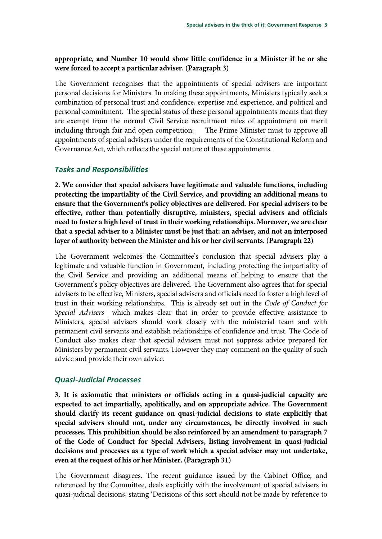#### **appropriate, and Number 10 would show little confidence in a Minister if he or she were forced to accept a particular adviser. (Paragraph 3)**

The Government recognises that the appointments of special advisers are important personal decisions for Ministers. In making these appointments, Ministers typically seek a combination of personal trust and confidence, expertise and experience, and political and personal commitment. The special status of these personal appointments means that they are exempt from the normal Civil Service recruitment rules of appointment on merit including through fair and open competition. The Prime Minister must to approve all appointments of special advisers under the requirements of the Constitutional Reform and Governance Act, which reflects the special nature of these appointments.

#### *Tasks and Responsibilities*

**2. We consider that special advisers have legitimate and valuable functions, including protecting the impartiality of the Civil Service, and providing an additional means to ensure that the Government's policy objectives are delivered. For special advisers to be effective, rather than potentially disruptive, ministers, special advisers and officials need to foster a high level of trust in their working relationships. Moreover, we are clear that a special adviser to a Minister must be just that: an adviser, and not an interposed layer of authority between the Minister and his or her civil servants. (Paragraph 22)** 

The Government welcomes the Committee's conclusion that special advisers play a legitimate and valuable function in Government, including protecting the impartiality of the Civil Service and providing an additional means of helping to ensure that the Government's policy objectives are delivered. The Government also agrees that for special advisers to be effective, Ministers, special advisers and officials need to foster a high level of trust in their working relationships. This is already set out in the *Code of Conduct for Special Advisers* which makes clear that in order to provide effective assistance to Ministers, special advisers should work closely with the ministerial team and with permanent civil servants and establish relationships of confidence and trust. The Code of Conduct also makes clear that special advisers must not suppress advice prepared for Ministers by permanent civil servants. However they may comment on the quality of such advice and provide their own advice.

#### *Quasi-Judicial Processes*

**3. It is axiomatic that ministers or officials acting in a quasi-judicial capacity are expected to act impartially, apolitically, and on appropriate advice. The Government should clarify its recent guidance on quasi-judicial decisions to state explicitly that special advisers should not, under any circumstances, be directly involved in such processes. This prohibition should be also reinforced by an amendment to paragraph 7 of the Code of Conduct for Special Advisers, listing involvement in quasi-judicial decisions and processes as a type of work which a special adviser may not undertake, even at the request of his or her Minister. (Paragraph 31)** 

The Government disagrees. The recent guidance issued by the Cabinet Office, and referenced by the Committee, deals explicitly with the involvement of special advisers in quasi-judicial decisions, stating 'Decisions of this sort should not be made by reference to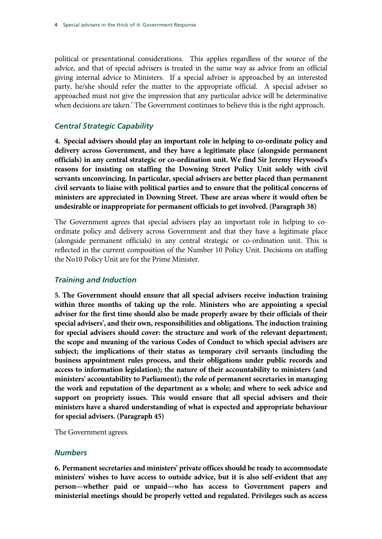political or presentational considerations. This applies regardless of the source of the advice, and that of special advisers is treated in the same way as advice from an official giving internal advice to Ministers. If a special adviser is approached by an interested party, he/she should refer the matter to the appropriate official. A special adviser so approached must not give the impression that any particular advice will be determinative when decisions are taken.' The Government continues to believe this is the right approach.

#### *Central Strategic Capability*

**4. Special advisers should play an important role in helping to co-ordinate policy and delivery across Government, and they have a legitimate place (alongside permanent officials) in any central strategic or co-ordination unit. We find Sir Jeremy Heywood's reasons for insisting on staffing the Downing Street Policy Unit solely with civil servants unconvincing. In particular, special advisers are better placed than permanent civil servants to liaise with political parties and to ensure that the political concerns of ministers are appreciated in Downing Street. These are areas where it would often be undesirable or inappropriate for permanent officials to get involved. (Paragraph 38)** 

The Government agrees that special advisers play an important role in helping to coordinate policy and delivery across Government and that they have a legitimate place (alongside permanent officials) in any central strategic or co-ordination unit. This is reflected in the current composition of the Number 10 Policy Unit. Decisions on staffing the No10 Policy Unit are for the Prime Minister.

#### *Training and Induction*

**5. The Government should ensure that all special advisers receive induction training within three months of taking up the role. Ministers who are appointing a special adviser for the first time should also be made properly aware by their officials of their special advisers', and their own, responsibilities and obligations. The induction training for special advisers should cover: the structure and work of the relevant department; the scope and meaning of the various Codes of Conduct to which special advisers are subject; the implications of their status as temporary civil servants (including the business appointment rules process, and their obligations under public records and access to information legislation); the nature of their accountability to ministers (and ministers' accountability to Parliament); the role of permanent secretaries in managing the work and reputation of the department as a whole; and where to seek advice and support on propriety issues. This would ensure that all special advisers and their ministers have a shared understanding of what is expected and appropriate behaviour for special advisers. (Paragraph 45)** 

The Government agrees.

#### *Numbers*

**6. Permanent secretaries and ministers' private offices should be ready to accommodate ministers' wishes to have access to outside advice, but it is also self-evident that any person—whether paid or unpaid—who has access to Government papers and ministerial meetings should be properly vetted and regulated. Privileges such as access**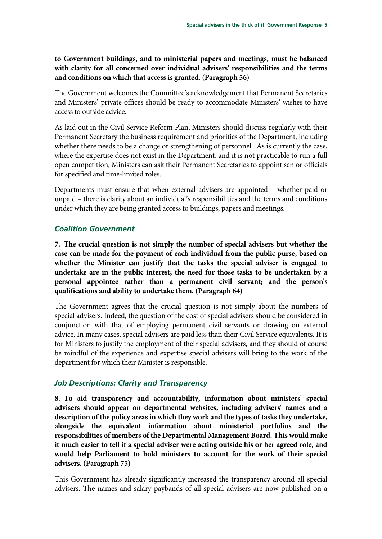**to Government buildings, and to ministerial papers and meetings, must be balanced with clarity for all concerned over individual advisers' responsibilities and the terms and conditions on which that access is granted. (Paragraph 56)** 

The Government welcomes the Committee's acknowledgement that Permanent Secretaries and Ministers' private offices should be ready to accommodate Ministers' wishes to have access to outside advice.

As laid out in the Civil Service Reform Plan, Ministers should discuss regularly with their Permanent Secretary the business requirement and priorities of the Department, including whether there needs to be a change or strengthening of personnel. As is currently the case, where the expertise does not exist in the Department, and it is not practicable to run a full open competition, Ministers can ask their Permanent Secretaries to appoint senior officials for specified and time-limited roles.

Departments must ensure that when external advisers are appointed – whether paid or unpaid – there is clarity about an individual's responsibilities and the terms and conditions under which they are being granted access to buildings, papers and meetings.

### *Coalition Government*

**7. The crucial question is not simply the number of special advisers but whether the case can be made for the payment of each individual from the public purse, based on whether the Minister can justify that the tasks the special adviser is engaged to undertake are in the public interest; the need for those tasks to be undertaken by a personal appointee rather than a permanent civil servant; and the person's qualifications and ability to undertake them. (Paragraph 64)** 

The Government agrees that the crucial question is not simply about the numbers of special advisers. Indeed, the question of the cost of special advisers should be considered in conjunction with that of employing permanent civil servants or drawing on external advice. In many cases, special advisers are paid less than their Civil Service equivalents. It is for Ministers to justify the employment of their special advisers, and they should of course be mindful of the experience and expertise special advisers will bring to the work of the department for which their Minister is responsible.

# *Job Descriptions: Clarity and Transparency*

**8. To aid transparency and accountability, information about ministers' special advisers should appear on departmental websites, including advisers' names and a description of the policy areas in which they work and the types of tasks they undertake, alongside the equivalent information about ministerial portfolios and the responsibilities of members of the Departmental Management Board. This would make it much easier to tell if a special adviser were acting outside his or her agreed role, and would help Parliament to hold ministers to account for the work of their special advisers. (Paragraph 75)** 

This Government has already significantly increased the transparency around all special advisers. The names and salary paybands of all special advisers are now published on a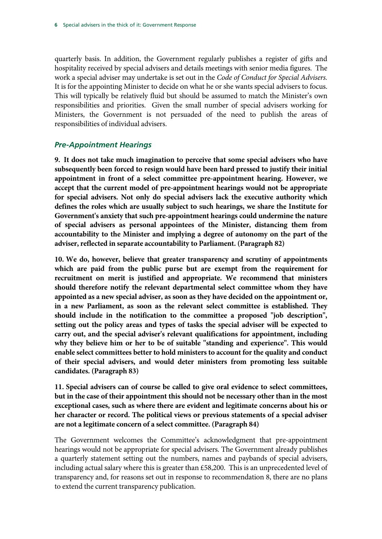quarterly basis. In addition, the Government regularly publishes a register of gifts and hospitality received by special advisers and details meetings with senior media figures. The work a special adviser may undertake is set out in the *Code of Conduct for Special Advisers.*  It is for the appointing Minister to decide on what he or she wants special advisers to focus. This will typically be relatively fluid but should be assumed to match the Minister's own responsibilities and priorities. Given the small number of special advisers working for Ministers, the Government is not persuaded of the need to publish the areas of responsibilities of individual advisers.

#### *Pre-Appointment Hearings*

**9. It does not take much imagination to perceive that some special advisers who have subsequently been forced to resign would have been hard pressed to justify their initial appointment in front of a select committee pre-appointment hearing. However, we accept that the current model of pre-appointment hearings would not be appropriate for special advisers. Not only do special advisers lack the executive authority which defines the roles which are usually subject to such hearings, we share the Institute for Government's anxiety that such pre-appointment hearings could undermine the nature of special advisers as personal appointees of the Minister, distancing them from accountability to the Minister and implying a degree of autonomy on the part of the adviser, reflected in separate accountability to Parliament. (Paragraph 82)** 

**10. We do, however, believe that greater transparency and scrutiny of appointments which are paid from the public purse but are exempt from the requirement for recruitment on merit is justified and appropriate. We recommend that ministers should therefore notify the relevant departmental select committee whom they have appointed as a new special adviser, as soon as they have decided on the appointment or, in a new Parliament, as soon as the relevant select committee is established. They should include in the notification to the committee a proposed "job description", setting out the policy areas and types of tasks the special adviser will be expected to carry out, and the special adviser's relevant qualifications for appointment, including why they believe him or her to be of suitable "standing and experience". This would enable select committees better to hold ministers to account for the quality and conduct of their special advisers, and would deter ministers from promoting less suitable candidates. (Paragraph 83)** 

**11. Special advisers can of course be called to give oral evidence to select committees, but in the case of their appointment this should not be necessary other than in the most exceptional cases, such as where there are evident and legitimate concerns about his or her character or record. The political views or previous statements of a special adviser are not a legitimate concern of a select committee. (Paragraph 84)** 

The Government welcomes the Committee's acknowledgment that pre-appointment hearings would not be appropriate for special advisers. The Government already publishes a quarterly statement setting out the numbers, names and paybands of special advisers, including actual salary where this is greater than £58,200. This is an unprecedented level of transparency and, for reasons set out in response to recommendation 8, there are no plans to extend the current transparency publication.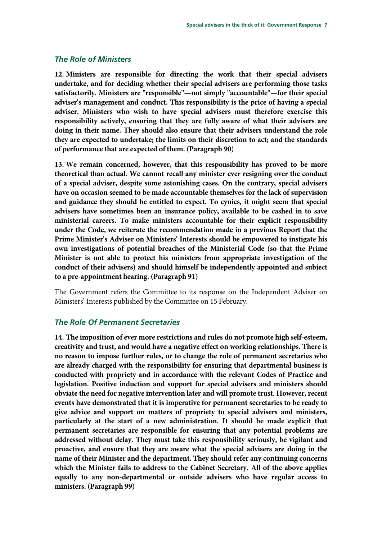#### *The Role of Ministers*

**12. Ministers are responsible for directing the work that their special advisers undertake, and for deciding whether their special advisers are performing those tasks satisfactorily. Ministers are "responsible"—not simply "accountable"—for their special adviser's management and conduct. This responsibility is the price of having a special adviser. Ministers who wish to have special advisers must therefore exercise this responsibility actively, ensuring that they are fully aware of what their advisers are doing in their name. They should also ensure that their advisers understand the role they are expected to undertake; the limits on their discretion to act; and the standards of performance that are expected of them. (Paragraph 90)** 

**13. We remain concerned, however, that this responsibility has proved to be more theoretical than actual. We cannot recall any minister ever resigning over the conduct of a special adviser, despite some astonishing cases. On the contrary, special advisers have on occasion seemed to be made accountable themselves for the lack of supervision and guidance they should be entitled to expect. To cynics, it might seem that special advisers have sometimes been an insurance policy, available to be cashed in to save ministerial careers. To make ministers accountable for their explicit responsibility under the Code, we reiterate the recommendation made in a previous Report that the Prime Minister's Adviser on Ministers' Interests should be empowered to instigate his own investigations of potential breaches of the Ministerial Code (so that the Prime Minister is not able to protect his ministers from appropriate investigation of the conduct of their advisers) and should himself be independently appointed and subject to a pre-appointment hearing. (Paragraph 91)** 

The Government refers the Committee to its response on the Independent Adviser on Ministers' Interests published by the Committee on 15 February.

#### *The Role Of Permanent Secretaries*

**14. The imposition of ever more restrictions and rules do not promote high self-esteem, creativity and trust, and would have a negative effect on working relationships. There is no reason to impose further rules, or to change the role of permanent secretaries who are already charged with the responsibility for ensuring that departmental business is conducted with propriety and in accordance with the relevant Codes of Practice and legislation. Positive induction and support for special advisers and ministers should obviate the need for negative intervention later and will promote trust. However, recent events have demonstrated that it is imperative for permanent secretaries to be ready to give advice and support on matters of propriety to special advisers and ministers, particularly at the start of a new administration. It should be made explicit that permanent secretaries are responsible for ensuring that any potential problems are addressed without delay. They must take this responsibility seriously, be vigilant and proactive, and ensure that they are aware what the special advisers are doing in the name of their Minister and the department. They should refer any continuing concerns which the Minister fails to address to the Cabinet Secretary. All of the above applies equally to any non-departmental or outside advisers who have regular access to ministers. (Paragraph 99)**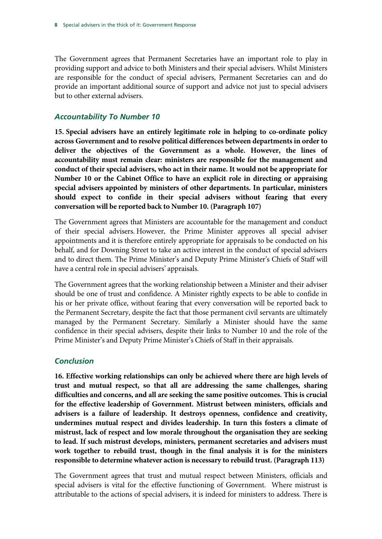The Government agrees that Permanent Secretaries have an important role to play in providing support and advice to both Ministers and their special advisers. Whilst Ministers are responsible for the conduct of special advisers, Permanent Secretaries can and do provide an important additional source of support and advice not just to special advisers but to other external advisers.

### *Accountability To Number 10*

**15. Special advisers have an entirely legitimate role in helping to co-ordinate policy across Government and to resolve political differences between departments in order to deliver the objectives of the Government as a whole. However, the lines of accountability must remain clear: ministers are responsible for the management and conduct of their special advisers, who act in their name. It would not be appropriate for Number 10 or the Cabinet Office to have an explicit role in directing or appraising special advisers appointed by ministers of other departments. In particular, ministers should expect to confide in their special advisers without fearing that every conversation will be reported back to Number 10. (Paragraph 107)** 

The Government agrees that Ministers are accountable for the management and conduct of their special advisers. However, the Prime Minister approves all special adviser appointments and it is therefore entirely appropriate for appraisals to be conducted on his behalf, and for Downing Street to take an active interest in the conduct of special advisers and to direct them. The Prime Minister's and Deputy Prime Minister's Chiefs of Staff will have a central role in special advisers' appraisals.

The Government agrees that the working relationship between a Minister and their adviser should be one of trust and confidence. A Minister rightly expects to be able to confide in his or her private office, without fearing that every conversation will be reported back to the Permanent Secretary, despite the fact that those permanent civil servants are ultimately managed by the Permanent Secretary. Similarly a Minister should have the same confidence in their special advisers, despite their links to Number 10 and the role of the Prime Minister's and Deputy Prime Minister's Chiefs of Staff in their appraisals.

#### *Conclusion*

**16. Effective working relationships can only be achieved where there are high levels of trust and mutual respect, so that all are addressing the same challenges, sharing difficulties and concerns, and all are seeking the same positive outcomes. This is crucial for the effective leadership of Government. Mistrust between ministers, officials and advisers is a failure of leadership. It destroys openness, confidence and creativity, undermines mutual respect and divides leadership. In turn this fosters a climate of mistrust, lack of respect and low morale throughout the organisation they are seeking to lead. If such mistrust develops, ministers, permanent secretaries and advisers must work together to rebuild trust, though in the final analysis it is for the ministers responsible to determine whatever action is necessary to rebuild trust. (Paragraph 113)** 

The Government agrees that trust and mutual respect between Ministers, officials and special advisers is vital for the effective functioning of Government. Where mistrust is attributable to the actions of special advisers, it is indeed for ministers to address. There is